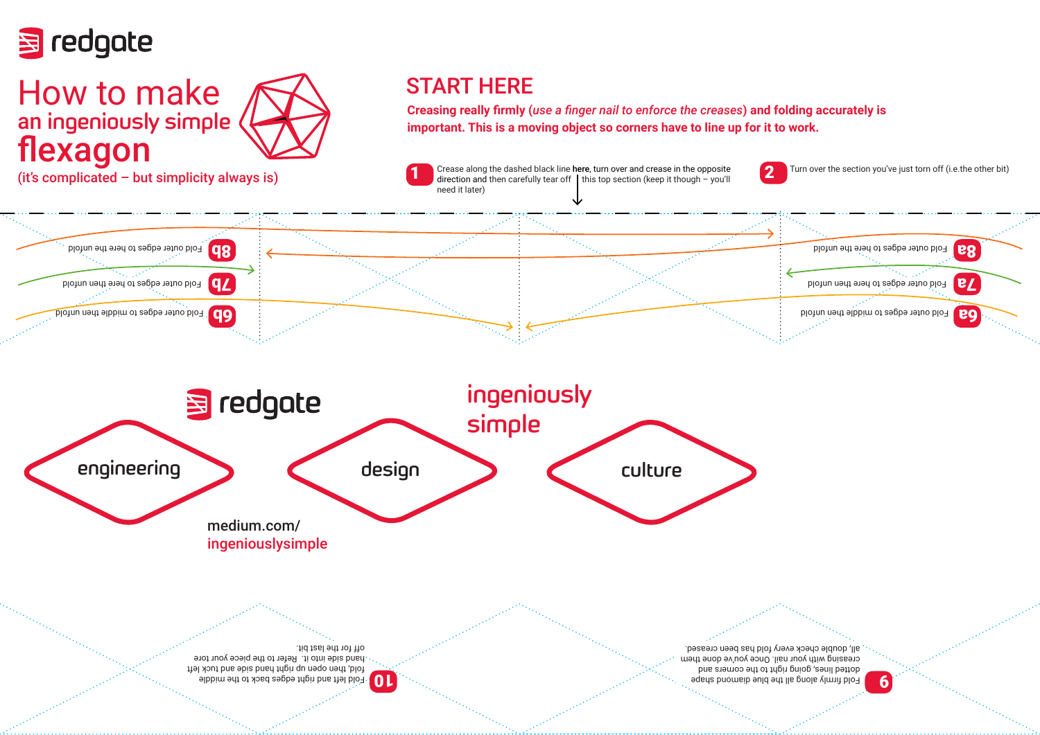

## How to make an ingeniously simple flexagon



## START HERE

**Creasing really firmly (***use a finger nail to enforce the creases***) and folding accurately is important. This is a moving object so corners have to line up for it to work.** 

(it's complicated – but simplicity always is) Crease along the dashed black line here, turn over and crease in the opposite (it's complicated – but simplicity always is) direction and then carefully tear off  $\parallel$  this top section (keep it though – you'll need it later) 1

Turn over the section you've just torn off (i.e.the other bit) 2



Fold firmly albbird and other properties are the blue diamond shape all the middle  $\bf{e}$ pue sieuros eur or rught porton estable de creasing with your nail. Once you've done them all, double check every fold has been creased.

fiel xout bas bis band then need and the left hand side into it. Refer to the piece your tore off for the last bit.

10